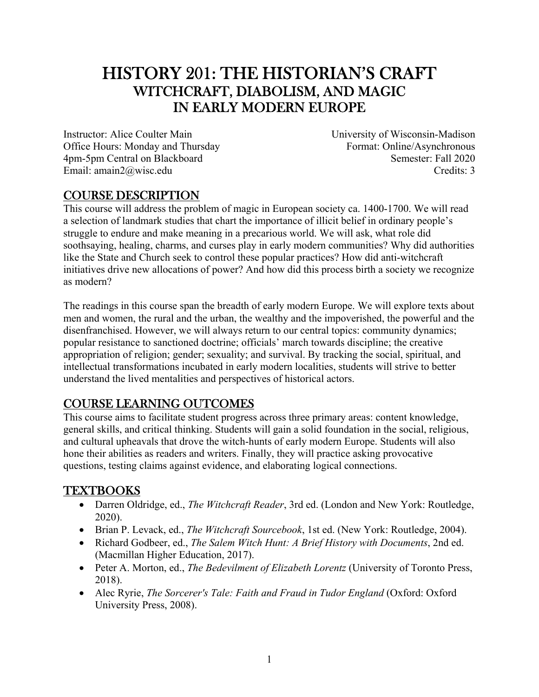# HISTORY 201: THE HISTORIAN'S CRAFT WITCHCRAFT, DIABOLISM, AND MAGIC IN EARLY MODERN EUROPE

Instructor: Alice Coulter Main Office Hours: Monday and Thursday 4pm-5pm Central on Blackboard Email: amain2@wisc.edu

University of Wisconsin-Madison Format: Online/Asynchronous Semester: Fall 2020 Credits: 3

## COURSE DESCRIPTION

This course will address the problem of magic in European society ca. 1400-1700. We will read a selection of landmark studies that chart the importance of illicit belief in ordinary people's struggle to endure and make meaning in a precarious world. We will ask, what role did soothsaying, healing, charms, and curses play in early modern communities? Why did authorities like the State and Church seek to control these popular practices? How did anti-witchcraft initiatives drive new allocations of power? And how did this process birth a society we recognize as modern?

The readings in this course span the breadth of early modern Europe. We will explore texts about men and women, the rural and the urban, the wealthy and the impoverished, the powerful and the disenfranchised. However, we will always return to our central topics: community dynamics; popular resistance to sanctioned doctrine; officials' march towards discipline; the creative appropriation of religion; gender; sexuality; and survival. By tracking the social, spiritual, and intellectual transformations incubated in early modern localities, students will strive to better understand the lived mentalities and perspectives of historical actors.

## COURSE LEARNING OUTCOMES

This course aims to facilitate student progress across three primary areas: content knowledge, general skills, and critical thinking. Students will gain a solid foundation in the social, religious, and cultural upheavals that drove the witch-hunts of early modern Europe. Students will also hone their abilities as readers and writers. Finally, they will practice asking provocative questions, testing claims against evidence, and elaborating logical connections.

## TEXTBOOKS

- Darren Oldridge, ed., *The Witchcraft Reader*, 3rd ed. (London and New York: Routledge, 2020).
- Brian P. Levack, ed., *The Witchcraft Sourcebook*, 1st ed. (New York: Routledge, 2004).
- Richard Godbeer, ed., *The Salem Witch Hunt: A Brief History with Documents*, 2nd ed. (Macmillan Higher Education, 2017).
- Peter A. Morton, ed., *The Bedevilment of Elizabeth Lorentz* (University of Toronto Press, 2018).
- Alec Ryrie, *The Sorcerer's Tale: Faith and Fraud in Tudor England* (Oxford: Oxford University Press, 2008).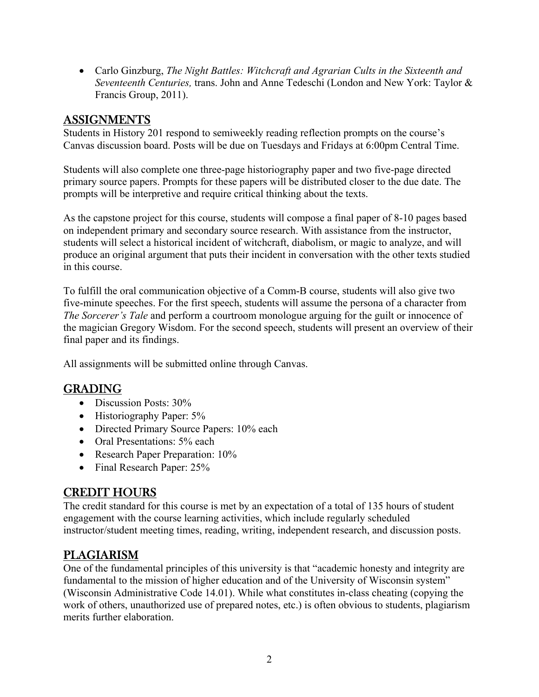Carlo Ginzburg, *The Night Battles: Witchcraft and Agrarian Cults in the Sixteenth and Seventeenth Centuries,* trans. John and Anne Tedeschi (London and New York: Taylor & Francis Group, 2011).

## ASSIGNMENTS

Students in History 201 respond to semiweekly reading reflection prompts on the course's Canvas discussion board. Posts will be due on Tuesdays and Fridays at 6:00pm Central Time.

Students will also complete one three-page historiography paper and two five-page directed primary source papers. Prompts for these papers will be distributed closer to the due date. The prompts will be interpretive and require critical thinking about the texts.

As the capstone project for this course, students will compose a final paper of 8-10 pages based on independent primary and secondary source research. With assistance from the instructor, students will select a historical incident of witchcraft, diabolism, or magic to analyze, and will produce an original argument that puts their incident in conversation with the other texts studied in this course.

To fulfill the oral communication objective of a Comm-B course, students will also give two five-minute speeches. For the first speech, students will assume the persona of a character from *The Sorcerer's Tale* and perform a courtroom monologue arguing for the guilt or innocence of the magician Gregory Wisdom. For the second speech, students will present an overview of their final paper and its findings.

All assignments will be submitted online through Canvas.

## GRADING

- Discussion Posts:  $30\%$
- Historiography Paper: 5%
- Directed Primary Source Papers: 10% each
- Oral Presentations: 5% each
- Research Paper Preparation: 10%
- Final Research Paper: 25%

## CREDIT HOURS

The credit standard for this course is met by an expectation of a total of 135 hours of student engagement with the course learning activities, which include regularly scheduled instructor/student meeting times, reading, writing, independent research, and discussion posts.

## PLAGIARISM

One of the fundamental principles of this university is that "academic honesty and integrity are fundamental to the mission of higher education and of the University of Wisconsin system" (Wisconsin Administrative Code 14.01). While what constitutes in-class cheating (copying the work of others, unauthorized use of prepared notes, etc.) is often obvious to students, plagiarism merits further elaboration.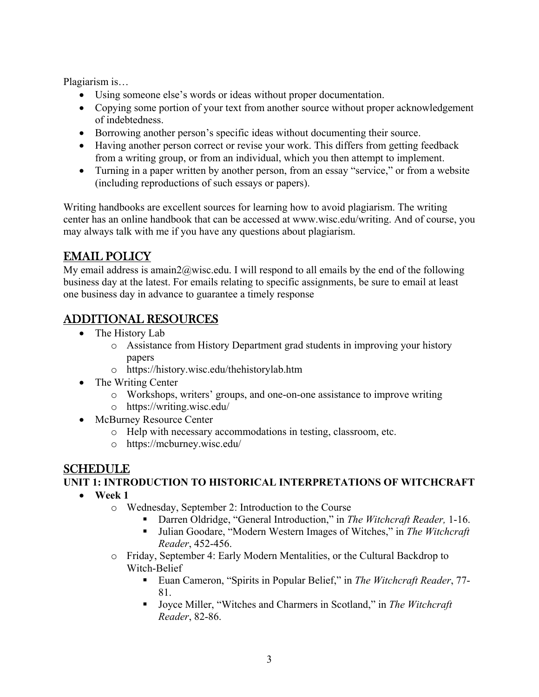Plagiarism is…

- Using someone else's words or ideas without proper documentation.
- Copying some portion of your text from another source without proper acknowledgement of indebtedness.
- Borrowing another person's specific ideas without documenting their source.
- Having another person correct or revise your work. This differs from getting feedback from a writing group, or from an individual, which you then attempt to implement.
- Turning in a paper written by another person, from an essay "service," or from a website (including reproductions of such essays or papers).

Writing handbooks are excellent sources for learning how to avoid plagiarism. The writing center has an online handbook that can be accessed at www.wisc.edu/writing. And of course, you may always talk with me if you have any questions about plagiarism.

## EMAIL POLICY

My email address is amain2@wisc.edu. I will respond to all emails by the end of the following business day at the latest. For emails relating to specific assignments, be sure to email at least one business day in advance to guarantee a timely response

## ADDITIONAL RESOURCES

- The History Lab
	- o Assistance from History Department grad students in improving your history papers
	- o https://history.wisc.edu/thehistorylab.htm
- The Writing Center
	- o Workshops, writers' groups, and one-on-one assistance to improve writing
	- o https://writing.wisc.edu/
- McBurney Resource Center
	- o Help with necessary accommodations in testing, classroom, etc.
	- o https://mcburney.wisc.edu/

### SCHEDULE

#### **UNIT 1: INTRODUCTION TO HISTORICAL INTERPRETATIONS OF WITCHCRAFT**

- **Week 1** 
	- o Wednesday, September 2: Introduction to the Course
		- Darren Oldridge, "General Introduction," in *The Witchcraft Reader*, 1-16.
		- Julian Goodare, "Modern Western Images of Witches," in *The Witchcraft Reader*, 452-456.
	- o Friday, September 4: Early Modern Mentalities, or the Cultural Backdrop to Witch-Belief
		- Euan Cameron, "Spirits in Popular Belief," in *The Witchcraft Reader*, 77- 81.
		- Joyce Miller, "Witches and Charmers in Scotland," in *The Witchcraft Reader*, 82-86.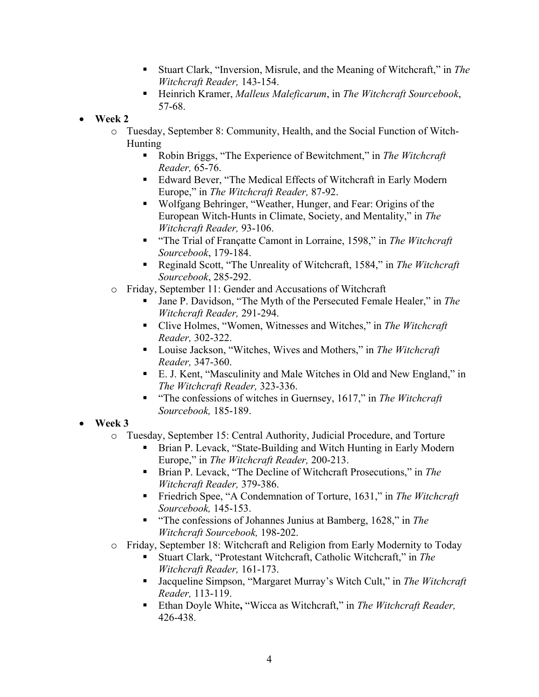- Stuart Clark, "Inversion, Misrule, and the Meaning of Witchcraft," in *The Witchcraft Reader,* 143-154.
- Heinrich Kramer, *Malleus Maleficarum*, in *The Witchcraft Sourcebook*, 57-68.
- **Week 2** 
	- o Tuesday, September 8: Community, Health, and the Social Function of Witch-Hunting
		- Robin Briggs, "The Experience of Bewitchment," in *The Witchcraft Reader,* 65-76.
		- Edward Bever, "The Medical Effects of Witchcraft in Early Modern Europe," in *The Witchcraft Reader,* 87-92.
		- Wolfgang Behringer, "Weather, Hunger, and Fear: Origins of the European Witch-Hunts in Climate, Society, and Mentality," in *The Witchcraft Reader,* 93-106.
		- "The Trial of Françatte Camont in Lorraine, 1598," in *The Witchcraft Sourcebook*, 179-184.
		- Reginald Scott, "The Unreality of Witchcraft, 1584," in *The Witchcraft Sourcebook*, 285-292.
	- o Friday, September 11: Gender and Accusations of Witchcraft
		- Jane P. Davidson, "The Myth of the Persecuted Female Healer," in *The Witchcraft Reader,* 291-294.
		- Clive Holmes, "Women, Witnesses and Witches," in *The Witchcraft Reader,* 302-322.
		- Louise Jackson, "Witches, Wives and Mothers," in *The Witchcraft Reader,* 347-360.
		- E. J. Kent, "Masculinity and Male Witches in Old and New England," in *The Witchcraft Reader,* 323-336.
		- "The confessions of witches in Guernsey, 1617," in *The Witchcraft Sourcebook,* 185-189.
- **Week 3** 
	- o Tuesday, September 15: Central Authority, Judicial Procedure, and Torture
		- Brian P. Levack, "State-Building and Witch Hunting in Early Modern Europe," in *The Witchcraft Reader,* 200-213.
		- Brian P. Levack, "The Decline of Witchcraft Prosecutions," in *The Witchcraft Reader,* 379-386.
		- Friedrich Spee, "A Condemnation of Torture, 1631," in *The Witchcraft Sourcebook,* 145-153.
		- "The confessions of Johannes Junius at Bamberg, 1628," in *The Witchcraft Sourcebook,* 198-202.
	- o Friday, September 18: Witchcraft and Religion from Early Modernity to Today
		- Stuart Clark, "Protestant Witchcraft, Catholic Witchcraft," in *The Witchcraft Reader,* 161-173.
		- Jacqueline Simpson, "Margaret Murray's Witch Cult," in *The Witchcraft Reader,* 113-119.
		- Ethan Doyle White, "Wicca as Witchcraft," in *The Witchcraft Reader*, 426-438.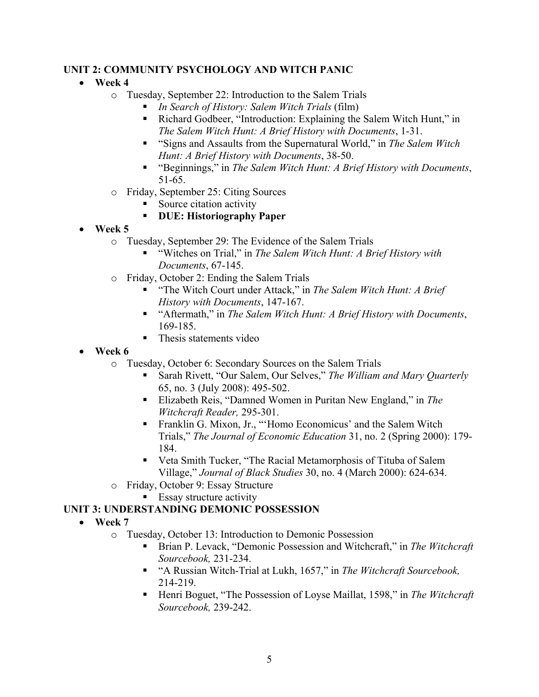#### **UNIT 2: COMMUNITY PSYCHOLOGY AND WITCH PANIC**

### **Week 4**

- o Tuesday, September 22: Introduction to the Salem Trials
	- *In Search of History: Salem Witch Trials* (film)
	- Richard Godbeer, "Introduction: Explaining the Salem Witch Hunt," in *The Salem Witch Hunt: A Brief History with Documents*, 1-31.
	- "Signs and Assaults from the Supernatural World," in *The Salem Witch Hunt: A Brief History with Documents*, 38-50.
	- "Beginnings," in *The Salem Witch Hunt: A Brief History with Documents*, 51-65.
- o Friday, September 25: Citing Sources
	- Source citation activity

### **DUE: Historiography Paper**

- **Week 5** 
	- o Tuesday, September 29: The Evidence of the Salem Trials
		- "Witches on Trial," in *The Salem Witch Hunt: A Brief History with Documents*, 67-145.
	- o Friday, October 2: Ending the Salem Trials
		- "The Witch Court under Attack," in *The Salem Witch Hunt: A Brief History with Documents*, 147-167.
		- "Aftermath," in *The Salem Witch Hunt: A Brief History with Documents*, 169-185.
		- Thesis statements video
- **Week 6** 
	- o Tuesday, October 6: Secondary Sources on the Salem Trials
		- Sarah Rivett, "Our Salem, Our Selves," *The William and Mary Quarterly* 65, no. 3 (July 2008): 495-502.
		- Elizabeth Reis, "Damned Women in Puritan New England," in *The Witchcraft Reader,* 295-301.
		- Franklin G. Mixon, Jr., "'Homo Economicus' and the Salem Witch Trials," *The Journal of Economic Education* 31, no. 2 (Spring 2000): 179- 184.
		- Veta Smith Tucker, "The Racial Metamorphosis of Tituba of Salem Village," *Journal of Black Studies* 30, no. 4 (March 2000): 624-634.
	- o Friday, October 9: Essay Structure
		- **Essay structure activity**

### **UNIT 3: UNDERSTANDING DEMONIC POSSESSION**

- **Week 7** 
	- o Tuesday, October 13: Introduction to Demonic Possession
		- Brian P. Levack, "Demonic Possession and Witchcraft," in *The Witchcraft Sourcebook,* 231-234.
		- "A Russian Witch-Trial at Lukh, 1657," in *The Witchcraft Sourcebook,*  214-219.
		- Henri Boguet, "The Possession of Loyse Maillat, 1598," in *The Witchcraft Sourcebook,* 239-242.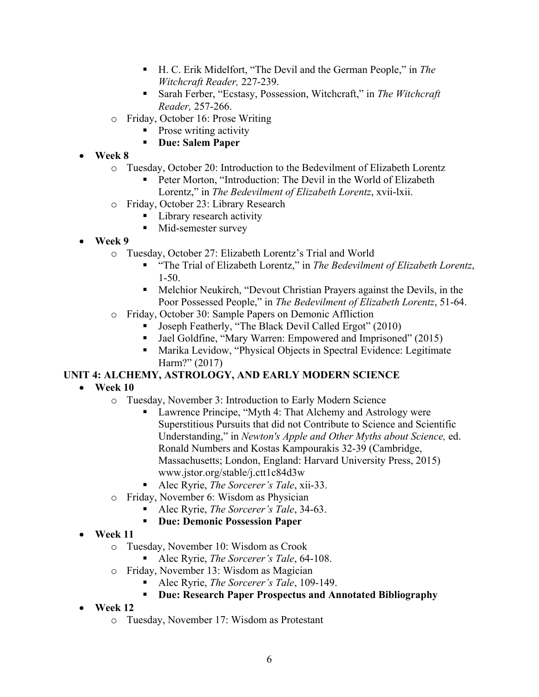- H. C. Erik Midelfort, "The Devil and the German People," in *The Witchcraft Reader,* 227-239.
- Sarah Ferber, "Ecstasy, Possession, Witchcraft," in *The Witchcraft Reader,* 257-266.
- o Friday, October 16: Prose Writing
	- Prose writing activity
	- **Due: Salem Paper**
- **Week 8**
	- o Tuesday, October 20: Introduction to the Bedevilment of Elizabeth Lorentz
		- Peter Morton, "Introduction: The Devil in the World of Elizabeth Lorentz," in *The Bedevilment of Elizabeth Lorentz*, xvii-lxii.
	- o Friday, October 23: Library Research
		- **Library research activity**
		- **Mid-semester survey**
- **Week 9**
	- o Tuesday, October 27: Elizabeth Lorentz's Trial and World
		- "The Trial of Elizabeth Lorentz," in *The Bedevilment of Elizabeth Lorentz*, 1-50.
		- Melchior Neukirch, "Devout Christian Prayers against the Devils, in the Poor Possessed People," in *The Bedevilment of Elizabeth Lorentz*, 51-64.
	- o Friday, October 30: Sample Papers on Demonic Affliction
		- Joseph Featherly, "The Black Devil Called Ergot" (2010)
		- Jael Goldfine, "Mary Warren: Empowered and Imprisoned" (2015)
		- Marika Levidow, "Physical Objects in Spectral Evidence: Legitimate Harm?" (2017)

### **UNIT 4: ALCHEMY, ASTROLOGY, AND EARLY MODERN SCIENCE**

- **Week 10**
	- o Tuesday, November 3: Introduction to Early Modern Science
		- Lawrence Principe, "Myth 4: That Alchemy and Astrology were Superstitious Pursuits that did not Contribute to Science and Scientific Understanding," in *Newton's Apple and Other Myths about Science,* ed. Ronald Numbers and Kostas Kampourakis 32-39 (Cambridge, Massachusetts; London, England: Harvard University Press, 2015) www.jstor.org/stable/j.ctt1c84d3w
		- Alec Ryrie, *The Sorcerer's Tale*, xii-33.
	- o Friday, November 6: Wisdom as Physician
		- Alec Ryrie, *The Sorcerer's Tale*, 34-63.
		- **Due: Demonic Possession Paper**
- **Week 11**
	- o Tuesday, November 10: Wisdom as Crook
		- Alec Ryrie, *The Sorcerer's Tale*, 64-108.
	- o Friday, November 13: Wisdom as Magician
		- Alec Ryrie, *The Sorcerer's Tale*, 109-149.
		- **Due: Research Paper Prospectus and Annotated Bibliography**
- **Week 12**
	- o Tuesday, November 17: Wisdom as Protestant